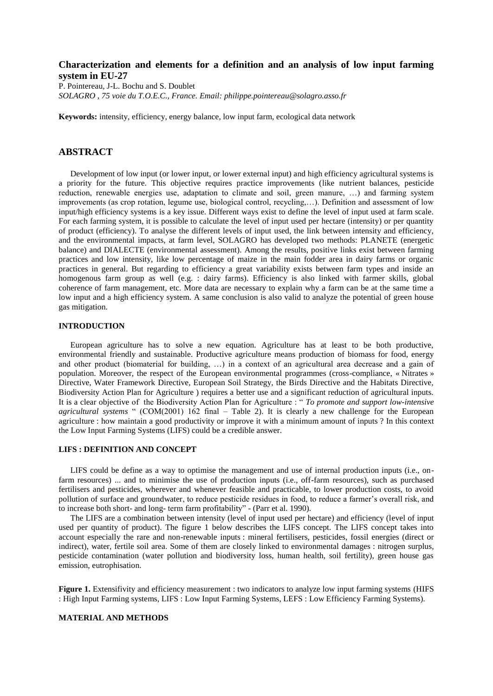# **Characterization and elements for a definition and an analysis of low input farming system in EU-27**

P. Pointereau, J-L. Bochu and S. Doublet *SOLAGRO , 75 voie du T.O.E.C., France. Email: philippe.pointereau@solagro.asso.fr*

**Keywords:** intensity, efficiency, energy balance, low input farm, ecological data network

## **ABSTRACT**

Development of low input (or lower input, or lower external input) and high efficiency agricultural systems is a priority for the future. This objective requires practice improvements (like nutrient balances, pesticide reduction, renewable energies use, adaptation to climate and soil, green manure, …) and farming system improvements (as crop rotation, legume use, biological control, recycling,…). Definition and assessment of low input/high efficiency systems is a key issue. Different ways exist to define the level of input used at farm scale. For each farming system, it is possible to calculate the level of input used per hectare (intensity) or per quantity of product (efficiency). To analyse the different levels of input used, the link between intensity and efficiency, and the environmental impacts, at farm level, SOLAGRO has developed two methods: PLANETE (energetic balance) and DIALECTE (environmental assessment). Among the results, positive links exist between farming practices and low intensity, like low percentage of maize in the main fodder area in dairy farms or organic practices in general. But regarding to efficiency a great variability exists between farm types and inside an homogenous farm group as well (e.g. : dairy farms). Efficiency is also linked with farmer skills, global coherence of farm management, etc. More data are necessary to explain why a farm can be at the same time a low input and a high efficiency system. A same conclusion is also valid to analyze the potential of green house gas mitigation.

### **INTRODUCTION**

European agriculture has to solve a new equation. Agriculture has at least to be both productive, environmental friendly and sustainable. Productive agriculture means production of biomass for food, energy and other product (biomaterial for building, …) in a context of an agricultural area decrease and a gain of population. Moreover, the respect of the European environmental programmes (cross-compliance, « Nitrates » Directive, Water Framework Directive, European Soil Strategy, the Birds Directive and the Habitats Directive, Biodiversity Action Plan for Agriculture ) requires a better use and a significant reduction of agricultural inputs. It is a clear objective of the Biodiversity Action Plan for Agriculture : " *To promote and support low-intensive agricultural systems* " (COM(2001) 162 final – Table 2). It is clearly a new challenge for the European agriculture : how maintain a good productivity or improve it with a minimum amount of inputs ? In this context the Low Input Farming Systems (LIFS) could be a credible answer.

### **LIFS : DEFINITION AND CONCEPT**

LIFS could be define as a way to optimise the management and use of internal production inputs (i.e., onfarm resources) ... and to minimise the use of production inputs (i.e., off-farm resources), such as purchased fertilisers and pesticides, wherever and whenever feasible and practicable, to lower production costs, to avoid pollution of surface and groundwater, to reduce pesticide residues in food, to reduce a farmer's overall risk, and to increase both short- and long- term farm profitability" - (Parr et al. 1990).

The LIFS are a combination between intensity (level of input used per hectare) and efficiency (level of input used per quantity of product). The figure 1 below describes the LIFS concept. The LIFS concept takes into account especially the rare and non-renewable inputs : mineral fertilisers, pesticides, fossil energies (direct or indirect), water, fertile soil area. Some of them are closely linked to environmental damages : nitrogen surplus, pesticide contamination (water pollution and biodiversity loss, human health, soil fertility), green house gas emission, eutrophisation.

**Figure 1.** Extensifivity and efficiency measurement : two indicators to analyze low input farming systems (HIFS) : High Input Farming systems, LIFS : Low Input Farming Systems, LEFS : Low Efficiency Farming Systems).

### **MATERIAL AND METHODS**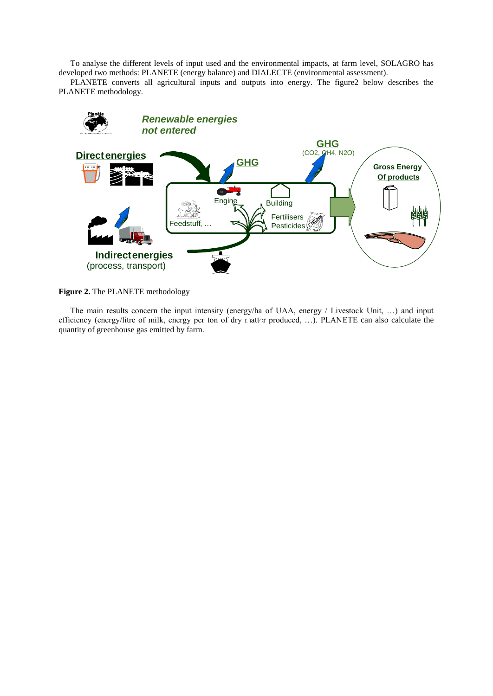To analyse the different levels of input used and the environmental impacts, at farm level, SOLAGRO has developed two methods: PLANETE (energy balance) and DIALECTE (environmental assessment).

PLANETE converts all agricultural inputs and outputs into energy. The figure2 below describes the PLANETE methodology.



**Figure 2.** The PLANETE methodology

The main results concern the input intensity (energy/ha of UAA, energy / Livestock Unit, …) and input efficiency (energy/litre of milk, energy per ton of dry matter produced, ...). PLANETE can also calculate the quantity of greenhouse gas emitted by farm.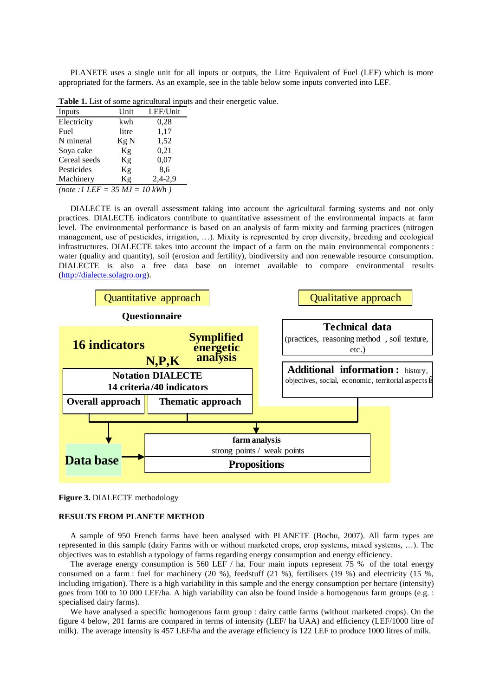PLANETE uses a single unit for all inputs or outputs, the Litre Equivalent of Fuel (LEF) which is more appropriated for the farmers. As an example, see in the table below some inputs converted into LEF.

| Inputs                                    | Unit  | LEF/Unit  |
|-------------------------------------------|-------|-----------|
| Electricity                               | kwh   | 0,28      |
| Fuel                                      | litre | 1,17      |
| N mineral                                 | Kg N  | 1,52      |
| Soya cake                                 | Kg    | 0,21      |
| Cereal seeds                              | Kg    | 0,07      |
| Pesticides                                | Kg    | 8,6       |
| Machinery                                 | Кg    | $2,4-2,9$ |
| $(note:1 \, LEFT = 35 \, MJ = 10 \, kWh)$ |       |           |

**Table 1.** List of some agricultural inputs and their energetic value.

DIALECTE is an overall assessment taking into account the agricultural farming systems and not only practices. DIALECTE indicators contribute to quantitative assessment of the environmental impacts at farm level. The environmental performance is based on an analysis of farm mixity and farming practices (nitrogen management, use of pesticides, irrigation, …). Mixity is represented by crop diversity, breeding and ecological infrastructures. DIALECTE takes into account the impact of a farm on the main environmental components : water (quality and quantity), soil (erosion and fertility), biodiversity and non renewable resource consumption. DIALECTE is also a free data base on internet available to compare environmental results [\(http://dialecte.solagro.org\)](http://dialecte.solagro.org/).



**Figure 3.** DIALECTE methodology

#### **RESULTS FROM PLANETE METHOD**

A sample of 950 French farms have been analysed with PLANETE (Bochu, 2007). All farm types are represented in this sample (dairy Farms with or without marketed crops, crop systems, mixed systems, …). The objectives was to establish a typology of farms regarding energy consumption and energy efficiency.

The average energy consumption is 560 LEF / ha. Four main inputs represent 75 % of the total energy consumed on a farm : fuel for machinery (20 %), feedstuff (21 %), fertilisers (19 %) and electricity (15 %, including irrigation). There is a high variability in this sample and the energy consumption per hectare (intensity) goes from 100 to 10 000 LEF/ha. A high variability can also be found inside a homogenous farm groups (e.g. : specialised dairy farms).

We have analysed a specific homogenous farm group : dairy cattle farms (without marketed crops). On the figure 4 below, 201 farms are compared in terms of intensity (LEF/ ha UAA) and efficiency (LEF/1000 litre of milk). The average intensity is 457 LEF/ha and the average efficiency is 122 LEF to produce 1000 litres of milk.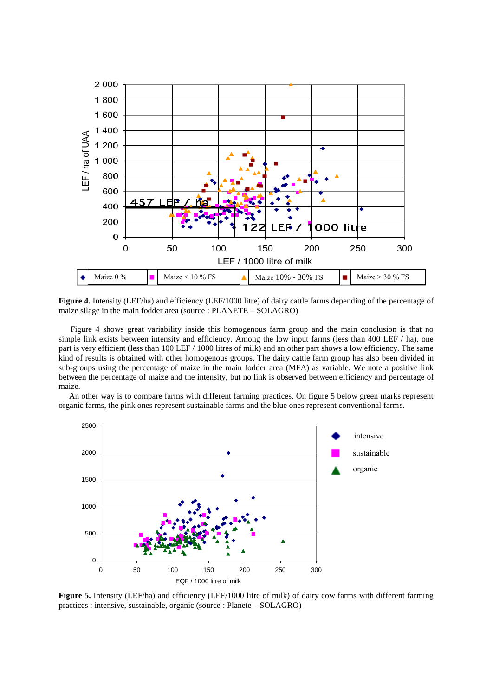

**Figure 4.** Intensity (LEF/ha) and efficiency (LEF/1000 litre) of dairy cattle farms depending of the percentage of maize silage in the main fodder area (source : PLANETE – SOLAGRO)

Figure 4 shows great variability inside this homogenous farm group and the main conclusion is that no simple link exists between intensity and efficiency. Among the low input farms (less than 400 LEF / ha), one part is very efficient (less than 100 LEF / 1000 litres of milk) and an other part shows a low efficiency. The same kind of results is obtained with other homogenous groups. The dairy cattle farm group has also been divided in sub-groups using the percentage of maize in the main fodder area (MFA) as variable. We note a positive link between the percentage of maize and the intensity, but no link is observed between efficiency and percentage of maize.

 An other way is to compare farms with different farming practices. On figure 5 below green marks represent organic farms, the pink ones represent sustainable farms and the blue ones represent conventional farms.



**Figure 5.** Intensity (LEF/ha) and efficiency (LEF/1000 litre of milk) of dairy cow farms with different farming practices : intensive, sustainable, organic (source : Planete – SOLAGRO)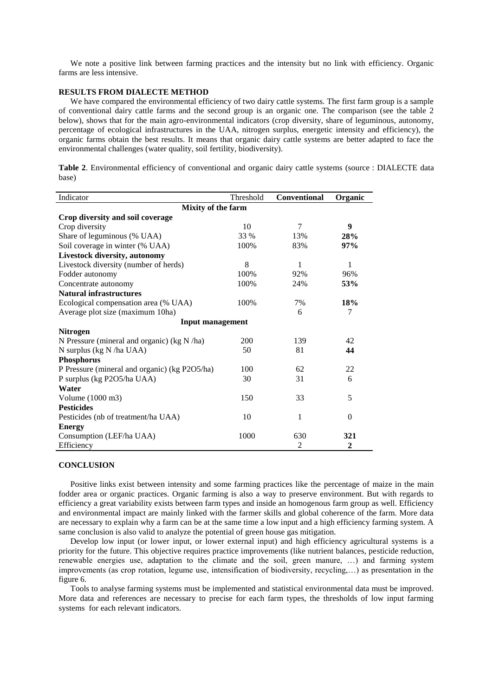We note a positive link between farming practices and the intensity but no link with efficiency. Organic farms are less intensive.

### **RESULTS FROM DIALECTE METHOD**

We have compared the environmental efficiency of two dairy cattle systems. The first farm group is a sample of conventional dairy cattle farms and the second group is an organic one. The comparison (see the table 2 below), shows that for the main agro-environmental indicators (crop diversity, share of leguminous, autonomy, percentage of ecological infrastructures in the UAA, nitrogen surplus, energetic intensity and efficiency), the organic farms obtain the best results. It means that organic dairy cattle systems are better adapted to face the environmental challenges (water quality, soil fertility, biodiversity).

|       | Table 2. Environmental efficiency of conventional and organic dairy cattle systems (source : DIALECTE data |  |  |  |  |
|-------|------------------------------------------------------------------------------------------------------------|--|--|--|--|
| base) |                                                                                                            |  |  |  |  |

| Indicator                                     | Threshold | Conventional   | Organic      |  |  |  |  |  |  |
|-----------------------------------------------|-----------|----------------|--------------|--|--|--|--|--|--|
| Mixity of the farm                            |           |                |              |  |  |  |  |  |  |
| Crop diversity and soil coverage              |           |                |              |  |  |  |  |  |  |
| Crop diversity                                | 10        | 7              | 9            |  |  |  |  |  |  |
| Share of leguminous (% UAA)                   | 33 %      | 13%            | 28%          |  |  |  |  |  |  |
| Soil coverage in winter (% UAA)               | 100%      | 83%            | 97%          |  |  |  |  |  |  |
| <b>Livestock diversity, autonomy</b>          |           |                |              |  |  |  |  |  |  |
| Livestock diversity (number of herds)         | 8         | 1              | 1            |  |  |  |  |  |  |
| Fodder autonomy                               | 100%      | 92%            | 96%          |  |  |  |  |  |  |
| Concentrate autonomy                          | 100%      | 24%            | 53%          |  |  |  |  |  |  |
| <b>Natural infrastructures</b>                |           |                |              |  |  |  |  |  |  |
| Ecological compensation area (% UAA)          | 100%      | 7%             | 18%          |  |  |  |  |  |  |
| Average plot size (maximum 10ha)              |           | 6              | 7            |  |  |  |  |  |  |
| <b>Input management</b>                       |           |                |              |  |  |  |  |  |  |
| <b>Nitrogen</b>                               |           |                |              |  |  |  |  |  |  |
| N Pressure (mineral and organic) (kg N/ha)    | 200       | 139            | 42           |  |  |  |  |  |  |
| N surplus (kg N /ha UAA)                      | 50        | 81             | 44           |  |  |  |  |  |  |
| <b>Phosphorus</b>                             |           |                |              |  |  |  |  |  |  |
| P Pressure (mineral and organic) (kg P2O5/ha) | 100       | 62             | 22           |  |  |  |  |  |  |
| P surplus (kg P2O5/ha UAA)                    | 30        | 31             | 6            |  |  |  |  |  |  |
| Water                                         |           |                |              |  |  |  |  |  |  |
| Volume (1000 m3)                              | 150       | 33             | 5            |  |  |  |  |  |  |
| <b>Pesticides</b>                             |           |                |              |  |  |  |  |  |  |
| Pesticides (nb of treatment/ha UAA)           | 10        | 1              | $\mathbf{0}$ |  |  |  |  |  |  |
| <b>Energy</b>                                 |           |                |              |  |  |  |  |  |  |
| Consumption (LEF/ha UAA)                      | 1000      | 630            | 321          |  |  |  |  |  |  |
| Efficiency                                    |           | $\overline{2}$ | $\mathbf{2}$ |  |  |  |  |  |  |

## **CONCLUSION**

Positive links exist between intensity and some farming practices like the percentage of maize in the main fodder area or organic practices. Organic farming is also a way to preserve environment. But with regards to efficiency a great variability exists between farm types and inside an homogenous farm group as well. Efficiency and environmental impact are mainly linked with the farmer skills and global coherence of the farm. More data are necessary to explain why a farm can be at the same time a low input and a high efficiency farming system. A same conclusion is also valid to analyze the potential of green house gas mitigation.

Develop low input (or lower input, or lower external input) and high efficiency agricultural systems is a priority for the future. This objective requires practice improvements (like nutrient balances, pesticide reduction, renewable energies use, adaptation to the climate and the soil, green manure, …) and farming system improvements (as crop rotation, legume use, intensification of biodiversity, recycling,…) as presentation in the figure 6.

Tools to analyse farming systems must be implemented and statistical environmental data must be improved. More data and references are necessary to precise for each farm types, the thresholds of low input farming systems for each relevant indicators.